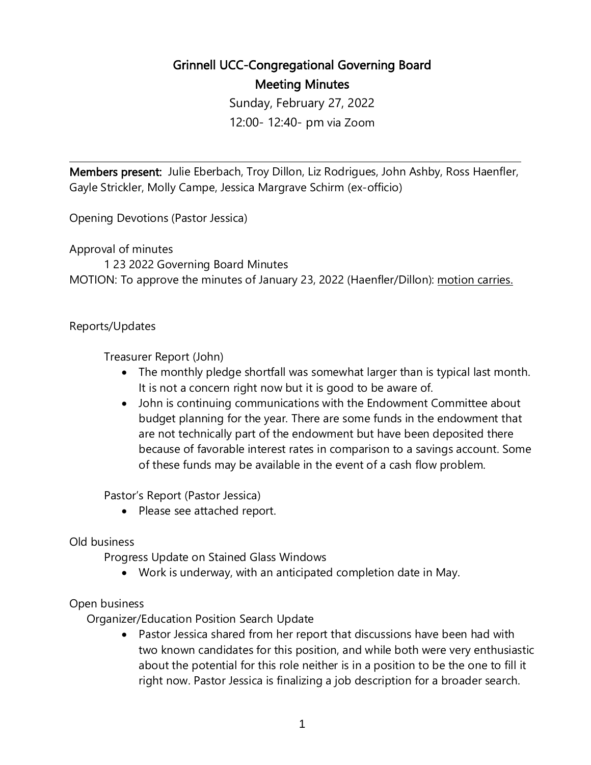## Grinnell UCC-Congregational Governing Board Meeting Minutes

Sunday, February 27, 2022 12:00- 12:40- pm via Zoom

 $\overline{a}$ 

Members present: Julie Eberbach, Troy Dillon, Liz Rodrigues, John Ashby, Ross Haenfler, Gayle Strickler, Molly Campe, Jessica Margrave Schirm (ex-officio)

Opening Devotions (Pastor Jessica)

Approval of minutes

1 23 2022 Governing Board Minutes MOTION: To approve the minutes of January 23, 2022 (Haenfler/Dillon): motion carries.

## Reports/Updates

Treasurer Report (John)

- The monthly pledge shortfall was somewhat larger than is typical last month. It is not a concern right now but it is good to be aware of.
- John is continuing communications with the Endowment Committee about budget planning for the year. There are some funds in the endowment that are not technically part of the endowment but have been deposited there because of favorable interest rates in comparison to a savings account. Some of these funds may be available in the event of a cash flow problem.

Pastor's Report (Pastor Jessica)

• Please see attached report.

## Old business

Progress Update on Stained Glass Windows

• Work is underway, with an anticipated completion date in May.

## Open business

Organizer/Education Position Search Update

• Pastor Jessica shared from her report that discussions have been had with two known candidates for this position, and while both were very enthusiastic about the potential for this role neither is in a position to be the one to fill it right now. Pastor Jessica is finalizing a job description for a broader search.